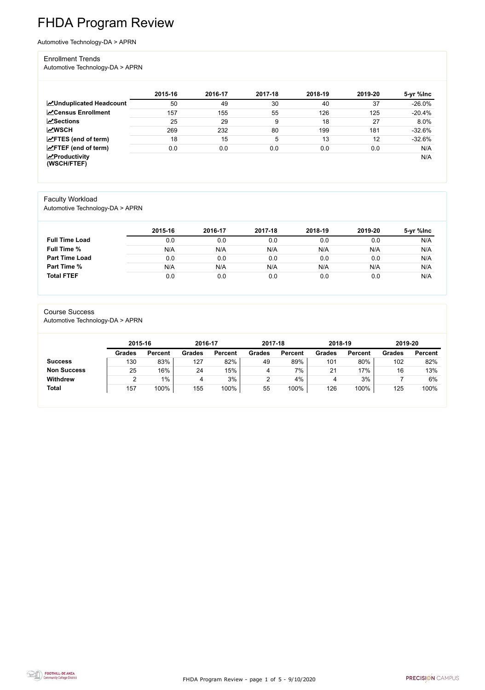FHDA Program Review - page 1 of 5 - 9/10/2020



# FHDA Program Review

Automotive Technology-DA > APRN

#### Enrollment Trends

Automotive Technology-DA > APRN

|                                        | 2015-16 | 2016-17 | 2017-18 | 2018-19 | 2019-20 | 5-yr %lnc |
|----------------------------------------|---------|---------|---------|---------|---------|-----------|
| <b>ZUnduplicated Headcount</b>         | 50      | 49      | 30      | 40      | 37      | $-26.0\%$ |
| <b>ZCensus Enrollment</b>              | 157     | 155     | 55      | 126     | 125     | $-20.4%$  |
| $\sqrt{\frac{8}{2}}$ Sections          | 25      | 29      | 9       | 18      | 27      | 8.0%      |
| <b>MWSCH</b>                           | 269     | 232     | 80      | 199     | 181     | $-32.6%$  |
| $\angle$ FTES (end of term)            | 18      | 15      | 5       | 13      | 12      | $-32.6%$  |
| $\angle$ FTEF (end of term)            | 0.0     | 0.0     | 0.0     | 0.0     | 0.0     | N/A       |
| $\sqrt{2}$ Productivity<br>(WSCH/FTEF) |         |         |         |         |         | N/A       |

#### Faculty Workload

Automotive Technology-DA > APRN

|                       | 2015-16 | 2016-17 | 2017-18 | 2018-19 | 2019-20 | 5-yr %lnc |
|-----------------------|---------|---------|---------|---------|---------|-----------|
| <b>Full Time Load</b> | 0.0     | 0.0     | 0.0     | 0.0     | 0.0     | N/A       |
| <b>Full Time %</b>    | N/A     | N/A     | N/A     | N/A     | N/A     | N/A       |
| <b>Part Time Load</b> | 0.0     | 0.0     | 0.0     | 0.0     | 0.0     | N/A       |
| <b>Part Time %</b>    | N/A     | N/A     | N/A     | N/A     | N/A     | N/A       |
| <b>Total FTEF</b>     | 0.0     | 0.0     | 0.0     | 0.0     | 0.0     | N/A       |

#### Course Success

Automotive Technology-DA > APRN

| 2015-16       |                | 2016-17       |                | 2017-18       |                | 2018-19       |                | 2019-20       |                |
|---------------|----------------|---------------|----------------|---------------|----------------|---------------|----------------|---------------|----------------|
| <b>Grades</b> | <b>Percent</b> | <b>Grades</b> | <b>Percent</b> | <b>Grades</b> | <b>Percent</b> | <b>Grades</b> | <b>Percent</b> | <b>Grades</b> | <b>Percent</b> |
| 130           | 83%            | 127           | 82%            | 49            | 89%            | 101           | 80%            | 102           | 82%            |
| 25            | 16%            | 24            | 15%            | 4             | 7%             | 21            | 17%            | 16            | 13%            |
|               | $1\%$          | 4             | 3%             |               | 4%             | 4             | 3%             |               | 6%             |
| 157           | 100%           | 155           | 100%           | 55            | 100%           | 126           | 100%           | 125           | 100%           |
|               |                |               |                |               |                |               |                |               |                |

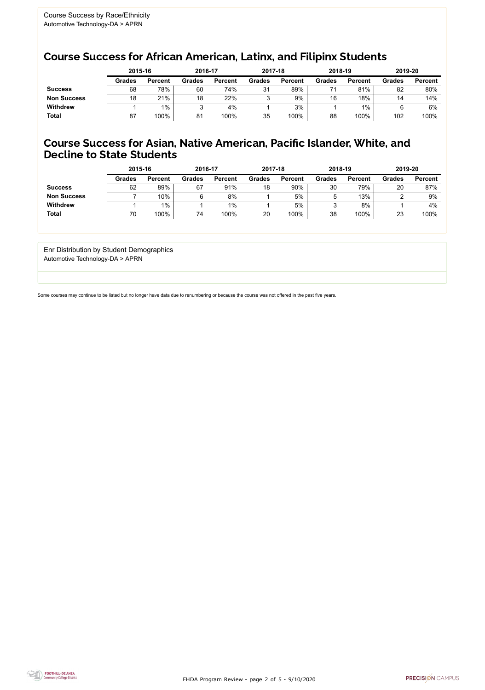FHDA Program Review - page 2 of 5 - 9/10/2020



Some courses may continue to be listed but no longer have data due to renumbering or because the course was not offered in the past five years.



# Course Success for African American, Latinx, and Filipinx Students

## Course Success for Asian, Native American, Pacific Islander, White, and Decline to State Students

|                    | 2015-16       |                | 2016-17       |                | 2017-18       |                | 2018-19       |                | 2019-20       |                |
|--------------------|---------------|----------------|---------------|----------------|---------------|----------------|---------------|----------------|---------------|----------------|
|                    | <b>Grades</b> | <b>Percent</b> | <b>Grades</b> | <b>Percent</b> | <b>Grades</b> | <b>Percent</b> | <b>Grades</b> | <b>Percent</b> | <b>Grades</b> | <b>Percent</b> |
| <b>Success</b>     | 68            | 78%            | 60            | 74%            | 31            | 89%            |               | 81%            | 82            | 80%            |
| <b>Non Success</b> | 18            | 21%            | 18            | 22%            |               | 9%             | 16            | 18%            | 14            | 14%            |
| <b>Withdrew</b>    |               | $1\%$          | ື             | 4%             |               | 3%             |               | $1\%$          |               | 6%             |
| <b>Total</b>       | 87            | 100%           | 81            | 100%           | 35            | 100%           | 88            | 100%           | 102           | 100%           |

|                    | 2015-16       |                | 2016-17       |                | 2017-18       |                | 2018-19       |                | 2019-20 |                |
|--------------------|---------------|----------------|---------------|----------------|---------------|----------------|---------------|----------------|---------|----------------|
|                    | <b>Grades</b> | <b>Percent</b> | <b>Grades</b> | <b>Percent</b> | <b>Grades</b> | <b>Percent</b> | <b>Grades</b> | <b>Percent</b> | Grades  | <b>Percent</b> |
| <b>Success</b>     | 62            | 89%            | 67            | 91%            | 18            | 90%            | 30            | 79%            | 20      | 87%            |
| <b>Non Success</b> |               | 10%            |               | 8%             |               | 5%             | b             | 13%            |         | 9%             |
| <b>Withdrew</b>    |               | 1%             |               | $1\%$          |               | 5%             |               | 8%             |         | 4%             |
| <b>Total</b>       | 70            | $100\%$        | 74            | 100%           | 20            | 100%           | 38            | 100%           | 23      | 100%           |

Enr Distribution by Student Demographics Automotive Technology-DA > APRN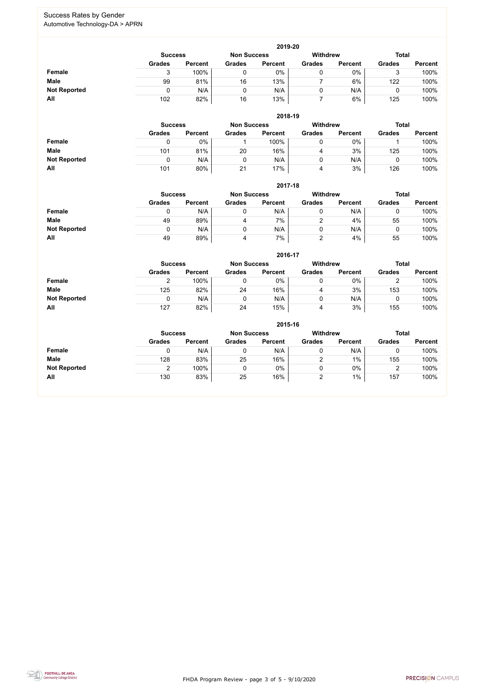FHDA Program Review - page 3 of 5 - 9/10/2020



### Success Rates by Gender Automotive Technology-DA > APRN

|                     | 2019-20                              |                |               |                |               |                 |               |                |  |  |
|---------------------|--------------------------------------|----------------|---------------|----------------|---------------|-----------------|---------------|----------------|--|--|
|                     | <b>Non Success</b><br><b>Success</b> |                |               |                |               | <b>Withdrew</b> | <b>Total</b>  |                |  |  |
|                     | <b>Grades</b>                        | <b>Percent</b> | <b>Grades</b> | <b>Percent</b> | <b>Grades</b> | <b>Percent</b>  | <b>Grades</b> | <b>Percent</b> |  |  |
| Female              |                                      | 100%           |               | 0%             |               | $0\%$           |               | 100%           |  |  |
| <b>Male</b>         | 99                                   | 81%            | 16            | 13%            |               | 6%              | 122           | 100%           |  |  |
| <b>Not Reported</b> |                                      | N/A            |               | N/A            | 0             | N/A             |               | 100%           |  |  |
| All                 | 102                                  | 82%            | 16            | 13%            |               | 6%              | 125           | 100%           |  |  |

|                     |               | 2018-19                              |               |                |               |                |               |                |  |  |  |
|---------------------|---------------|--------------------------------------|---------------|----------------|---------------|----------------|---------------|----------------|--|--|--|
|                     |               | <b>Non Success</b><br><b>Success</b> |               |                |               |                | <b>Total</b>  |                |  |  |  |
|                     | <b>Grades</b> | <b>Percent</b>                       | <b>Grades</b> | <b>Percent</b> | <b>Grades</b> | <b>Percent</b> | <b>Grades</b> | <b>Percent</b> |  |  |  |
| <b>Female</b>       | 0             | 0%                                   |               | 100%           | 0             | $0\%$          |               | 100%           |  |  |  |
| <b>Male</b>         | 101           | 81%                                  | 20            | 16%            | 4             | 3%             | 125           | 100%           |  |  |  |
| <b>Not Reported</b> | 0             | N/A                                  |               | N/A            | U             | N/A            |               | 100%           |  |  |  |
| All                 | 101           | 80%                                  | 21            | 17%            | 4             | 3%             | 126           | 100%           |  |  |  |

|                     | 2017-18       |                                                         |               |                |               |                |               |                |  |  |
|---------------------|---------------|---------------------------------------------------------|---------------|----------------|---------------|----------------|---------------|----------------|--|--|
|                     |               | <b>Withdrew</b><br><b>Non Success</b><br><b>Success</b> |               |                |               |                |               |                |  |  |
|                     | <b>Grades</b> | <b>Percent</b>                                          | <b>Grades</b> | <b>Percent</b> | <b>Grades</b> | <b>Percent</b> | <b>Grades</b> | <b>Percent</b> |  |  |
| <b>Female</b>       | υ             | N/A                                                     | 0             | N/A            |               | N/A            | υ             | 100%           |  |  |
| <b>Male</b>         | 49            | 89%                                                     | 4             | 7%             |               | 4%             | 55            | 100%           |  |  |
| <b>Not Reported</b> |               | N/A                                                     | 0             | N/A            |               | N/A            | υ             | 100%           |  |  |
| All                 | 49            | 89%                                                     | 4             | 7%             | 2             | 4%             | 55            | 100%           |  |  |

|                     |               | 2016-17                                                 |               |                |               |                |               |                |  |  |  |
|---------------------|---------------|---------------------------------------------------------|---------------|----------------|---------------|----------------|---------------|----------------|--|--|--|
|                     |               | <b>Withdrew</b><br><b>Non Success</b><br><b>Success</b> |               |                |               |                |               | <b>Total</b>   |  |  |  |
|                     | <b>Grades</b> | <b>Percent</b>                                          | <b>Grades</b> | <b>Percent</b> | <b>Grades</b> | <b>Percent</b> | <b>Grades</b> | <b>Percent</b> |  |  |  |
| Female              | ⌒             | 100%                                                    |               | 0%             | 0             | 0%             | ∠             | 100%           |  |  |  |
| <b>Male</b>         | 125           | 82%                                                     | 24            | 16%            | 4             | 3%             | 153           | 100%           |  |  |  |
| <b>Not Reported</b> | 0             | N/A                                                     |               | N/A            | 0             | N/A            |               | 100%           |  |  |  |
| All                 | 127           | 82%                                                     | 24            | 15%            | 4             | 3%             | 155           | 100%           |  |  |  |

|                     | 2015-16        |                |               |                    |               |                 |               |                |  |  |
|---------------------|----------------|----------------|---------------|--------------------|---------------|-----------------|---------------|----------------|--|--|
|                     | <b>Success</b> |                |               | <b>Non Success</b> |               | <b>Withdrew</b> | <b>Total</b>  |                |  |  |
|                     | <b>Grades</b>  | <b>Percent</b> | <b>Grades</b> | <b>Percent</b>     | <b>Grades</b> | <b>Percent</b>  | <b>Grades</b> | <b>Percent</b> |  |  |
| <b>Female</b>       |                | N/A            | 0             | N/A                |               | N/A             | U             | 100%           |  |  |
| <b>Male</b>         | 128            | 83%            | 25            | 16%                | ⌒             | $1\%$           | 155           | 100%           |  |  |
| <b>Not Reported</b> |                | 100%           | 0             | 0%                 |               | 0%              | ີ             | 100%           |  |  |
| All                 | 130            | 83%            | 25            | 16%                |               | $1\%$           | 157           | 100%           |  |  |

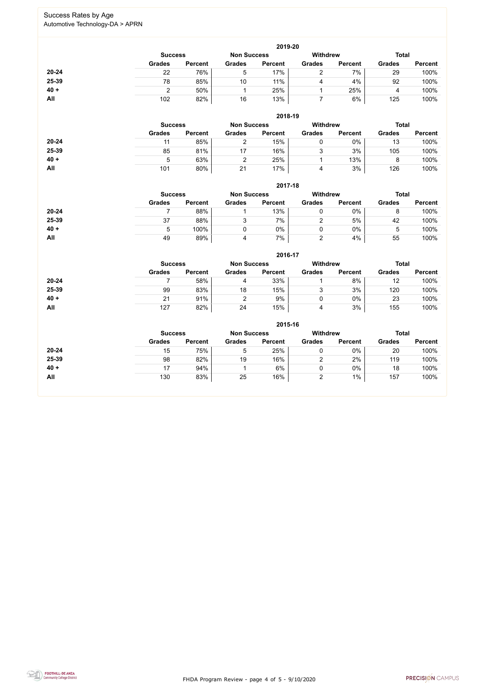FHDA Program Review - page 4 of 5 - 9/10/2020



### Success Rates by Age Automotive Technology-DA > APRN

|        | 2019-20       |                                                                         |               |                |               |                |               |                |  |  |
|--------|---------------|-------------------------------------------------------------------------|---------------|----------------|---------------|----------------|---------------|----------------|--|--|
|        |               | <b>Withdrew</b><br><b>Total</b><br><b>Non Success</b><br><b>Success</b> |               |                |               |                |               |                |  |  |
|        | <b>Grades</b> | <b>Percent</b>                                                          | <b>Grades</b> | <b>Percent</b> | <b>Grades</b> | <b>Percent</b> | <b>Grades</b> | <b>Percent</b> |  |  |
| 20-24  | 22            | 76%                                                                     | $\mathbf b$   | 17%            |               | 7%             | 29            | 100%           |  |  |
| 25-39  | 78            | 85%                                                                     | 10            | 11%            | 4             | 4%             | 92            | 100%           |  |  |
| $40 +$ |               | 50%                                                                     |               | 25%            |               | 25%            |               | 100%           |  |  |
| All    | 102           | 82%                                                                     | 16            | 13%            |               | 6%             | 125           | 100%           |  |  |

|           | 2018-19                                                                 |                |               |                |               |                |               |                |  |  |
|-----------|-------------------------------------------------------------------------|----------------|---------------|----------------|---------------|----------------|---------------|----------------|--|--|
|           | <b>Withdrew</b><br><b>Total</b><br><b>Non Success</b><br><b>Success</b> |                |               |                |               |                |               |                |  |  |
|           | <b>Grades</b>                                                           | <b>Percent</b> | <b>Grades</b> | <b>Percent</b> | <b>Grades</b> | <b>Percent</b> | <b>Grades</b> | <b>Percent</b> |  |  |
| $20 - 24$ |                                                                         | 85%            |               | 15%            |               | $0\%$          | 13            | 100%           |  |  |
| 25-39     | 85                                                                      | 81%            | 17            | 16%            | J             | 3%             | 105           | 100%           |  |  |
| $40 +$    | 5                                                                       | 63%            | ⌒             | 25%            |               | 13%            |               | 100%           |  |  |
| All       | 101                                                                     | 80%            | 21            | 17%            | 4             | 3%             | 126           | 100%           |  |  |

|           | 2017-18        |                |                    |                |                 |                |               |                |  |
|-----------|----------------|----------------|--------------------|----------------|-----------------|----------------|---------------|----------------|--|
|           | <b>Success</b> |                | <b>Non Success</b> |                | <b>Withdrew</b> |                | <b>Total</b>  |                |  |
|           | <b>Grades</b>  | <b>Percent</b> | <b>Grades</b>      | <b>Percent</b> | <b>Grades</b>   | <b>Percent</b> | <b>Grades</b> | <b>Percent</b> |  |
| $20 - 24$ |                | 88%            |                    | 13%            |                 | 0%             | 8             | 100%           |  |
| 25-39     | 37             | 88%            |                    | 7%             |                 | 5%             | 42            | 100%           |  |
| $40 +$    | 5              | 100%           |                    | 0%             |                 | $0\%$          | 5             | 100%           |  |
| All       | 49             | 89%            | 4                  | 7%             | ∩               | 4%             | 55            | 100%           |  |

|        | 2016-17        |                |               |                    |               |                 |               |                |  |
|--------|----------------|----------------|---------------|--------------------|---------------|-----------------|---------------|----------------|--|
|        | <b>Success</b> |                |               | <b>Non Success</b> |               | <b>Withdrew</b> |               | <b>Total</b>   |  |
|        | <b>Grades</b>  | <b>Percent</b> | <b>Grades</b> | <b>Percent</b>     | <b>Grades</b> | <b>Percent</b>  | <b>Grades</b> | <b>Percent</b> |  |
| 20-24  |                | 58%            | 4             | 33%                |               | 8%              | 12            | 100%           |  |
| 25-39  | 99             | 83%            | 18            | 15%                |               | 3%              | 120           | 100%           |  |
| $40 +$ | 21             | 91%            |               | 9%                 |               | $0\%$           | 23            | 100%           |  |
| All    | 127            | 82%            | 24            | 15%                | 4             | 3%              | 155           | 100%           |  |

|           | 2015-16       |                |               |                |                 |                |               |                |  |
|-----------|---------------|----------------|---------------|----------------|-----------------|----------------|---------------|----------------|--|
|           |               | <b>Success</b> |               |                | <b>Withdrew</b> |                | <b>Total</b>  |                |  |
|           | <b>Grades</b> | <b>Percent</b> | <b>Grades</b> | <b>Percent</b> | <b>Grades</b>   | <b>Percent</b> | <b>Grades</b> | <b>Percent</b> |  |
| $20 - 24$ | 15            | 75%            | 5             | 25%            | U               | 0%             | 20            | 100%           |  |
| 25-39     | 98            | 82%            | 19            | 16%            | ⌒               | 2%             | 119           | 100%           |  |
| $40 +$    | 17            | 94%            |               | 6%             | 0               | $0\%$          | 18            | 100%           |  |
| All       | 130           | 83%            | 25            | 16%            |                 | $1\%$          | 157           | 100%           |  |
|           |               |                |               |                |                 |                |               |                |  |